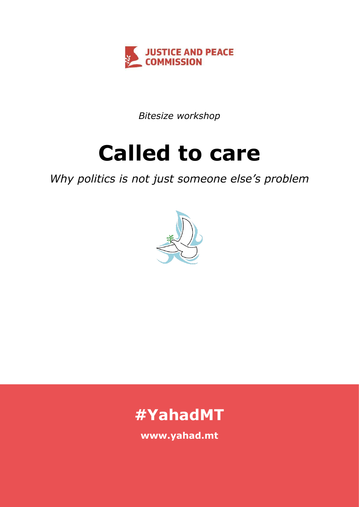

*Bitesize workshop*

# **Called to care**

# *Why politics is not just someone else's problem*





**www.yahad.mt**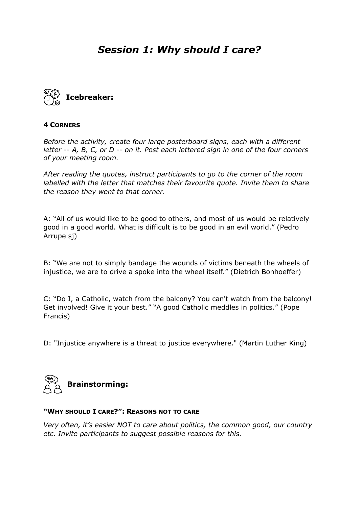# *Session 1: Why should I care?*



#### **4 CORNERS**

*Before the activity, create four large posterboard signs, each with a different letter -- A, B, C, or D -- on it. Post each lettered sign in one of the four corners of your meeting room.* 

*After reading the quotes, instruct participants to go to the corner of the room labelled with the letter that matches their favourite quote. Invite them to share the reason they went to that corner.*

A: "All of us would like to be good to others, and most of us would be relatively good in a good world. What is difficult is to be good in an evil world." (Pedro Arrupe sj)

B: "We are not to simply bandage the wounds of victims beneath the wheels of injustice, we are to drive a spoke into the wheel itself." (Dietrich Bonhoeffer)

C: "Do I, a Catholic, watch from the balcony? You can't watch from the balcony! Get involved! Give it your best." "A good Catholic meddles in politics." (Pope Francis)

D: "Injustice anywhere is a threat to justice everywhere." (Martin Luther King)



#### **"WHY SHOULD I CARE?": REASONS NOT TO CARE**

*Very often, it's easier NOT to care about politics, the common good, our country etc. Invite participants to suggest possible reasons for this.*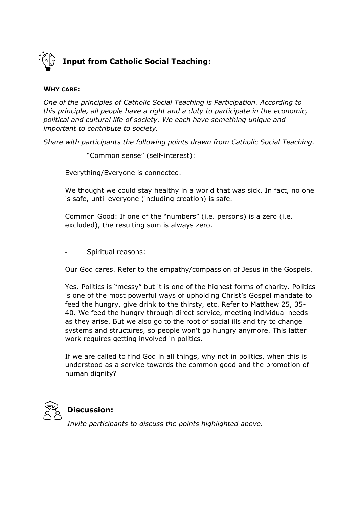

#### **WHY CARE:**

*One of the principles of Catholic Social Teaching is Participation. According to this principle, all people have a right and a duty to participate in the economic, political and cultural life of society. We each have something unique and important to contribute to society.*

*Share with participants the following points drawn from Catholic Social Teaching.*

"Common sense" (self-interest):

Everything/Everyone is connected.

We thought we could stay healthy in a world that was sick. In fact, no one is safe, until everyone (including creation) is safe.

Common Good: If one of the "numbers" (i.e. persons) is a zero (i.e. excluded), the resulting sum is always zero.

- Spiritual reasons:

Our God cares. Refer to the empathy/compassion of Jesus in the Gospels.

Yes. Politics is "messy" but it is one of the highest forms of charity. Politics is one of the most powerful ways of upholding Christ's Gospel mandate to feed the hungry, give drink to the thirsty, etc. Refer to Matthew 25, 35- 40. We feed the hungry through direct service, meeting individual needs as they arise. But we also go to the root of social ills and try to change systems and structures, so people won't go hungry anymore. This latter work requires getting involved in politics.

If we are called to find God in all things, why not in politics, when this is understood as a service towards the common good and the promotion of human dignity?



### **Discussion:**

*Invite participants to discuss the points highlighted above.*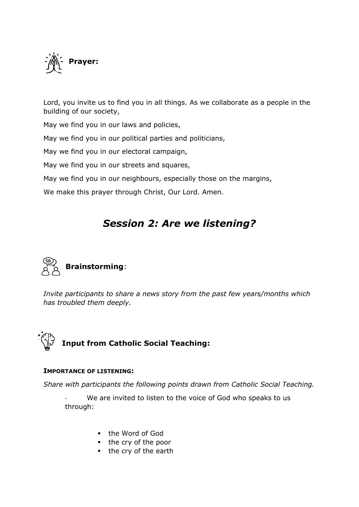

Lord, you invite us to find you in all things. As we collaborate as a people in the building of our society,

May we find you in our laws and policies,

May we find you in our political parties and politicians,

May we find you in our electoral campaign,

May we find you in our streets and squares,

May we find you in our neighbours, especially those on the margins,

We make this prayer through Christ, Our Lord. Amen.

# *Session 2: Are we listening?*



*Invite participants to share a news story from the past few years/months which has troubled them deeply.* 



#### **IMPORTANCE OF LISTENING:**

*Share with participants the following points drawn from Catholic Social Teaching.*

We are invited to listen to the voice of God who speaks to us through:

- the Word of God
- the cry of the poor
- the cry of the earth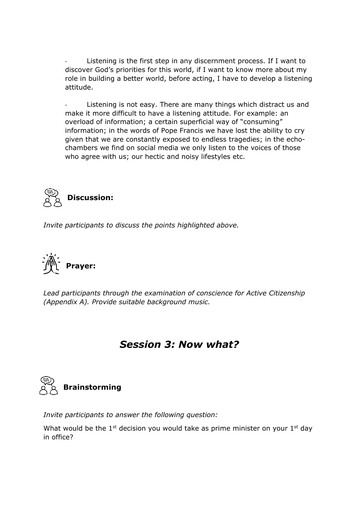Listening is the first step in any discernment process. If I want to discover God's priorities for this world, if I want to know more about my role in building a better world, before acting, I have to develop a listening attitude.

Listening is not easy. There are many things which distract us and make it more difficult to have a listening attitude. For example: an overload of information; a certain superficial way of "consuming" information; in the words of Pope Francis we have lost the ability to cry given that we are constantly exposed to endless tragedies; in the echochambers we find on social media we only listen to the voices of those who agree with us; our hectic and noisy lifestyles etc.



*Invite participants to discuss the points highlighted above.* 



*Lead participants through the examination of conscience for Active Citizenship (Appendix A). Provide suitable background music.* 

## *Session 3: Now what?*



*Invite participants to answer the following question:* 

What would be the  $1<sup>st</sup>$  decision you would take as prime minister on your  $1<sup>st</sup>$  day in office?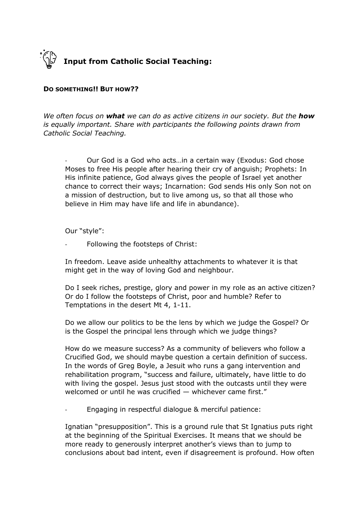

#### **DO SOMETHING!! BUT HOW??**

*We often focus on what we can do as active citizens in our society. But the how is equally important. Share with participants the following points drawn from Catholic Social Teaching.*

- Our God is a God who acts…in a certain way (Exodus: God chose Moses to free His people after hearing their cry of anguish; Prophets: In His infinite patience, God always gives the people of Israel yet another chance to correct their ways; Incarnation: God sends His only Son not on a mission of destruction, but to live among us, so that all those who believe in Him may have life and life in abundance).

Our "style":

Following the footsteps of Christ:

In freedom. Leave aside unhealthy attachments to whatever it is that might get in the way of loving God and neighbour.

Do I seek riches, prestige, glory and power in my role as an active citizen? Or do I follow the footsteps of Christ, poor and humble? Refer to Temptations in the desert Mt 4, 1-11.

Do we allow our politics to be the lens by which we judge the Gospel? Or is the Gospel the principal lens through which we judge things?

How do we measure success? As a community of believers who follow a Crucified God, we should maybe question a certain definition of success. In the words of Greg Boyle, a Jesuit who runs a gang intervention and rehabilitation program, "success and failure, ultimately, have little to do with living the gospel. Jesus just stood with the outcasts until they were welcomed or until he was crucified — whichever came first."

- Engaging in respectful dialogue & merciful patience:

Ignatian "presupposition". This is a ground rule that St Ignatius puts right at the beginning of the Spiritual Exercises. It means that we should be more ready to generously interpret another's views than to jump to conclusions about bad intent, even if disagreement is profound. How often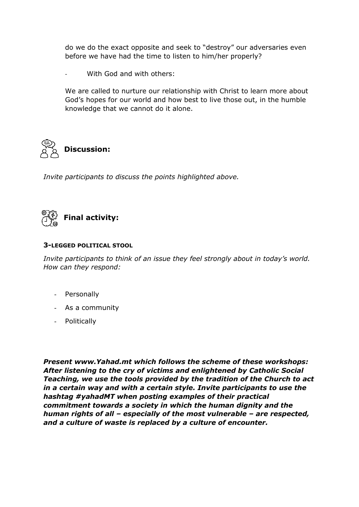do we do the exact opposite and seek to "destroy" our adversaries even before we have had the time to listen to him/her properly?

With God and with others:

We are called to nurture our relationship with Christ to learn more about God's hopes for our world and how best to live those out, in the humble knowledge that we cannot do it alone.



*Invite participants to discuss the points highlighted above.* 



#### **3-LEGGED POLITICAL STOOL**

*Invite participants to think of an issue they feel strongly about in today's world. How can they respond:* 

- Personally
- As a community
- Politically

*Present www.Yahad.mt which follows the scheme of these workshops: After listening to the cry of victims and enlightened by Catholic Social Teaching, we use the tools provided by the tradition of the Church to act in a certain way and with a certain style. Invite participants to use the hashtag #yahadMT when posting examples of their practical commitment towards a society in which the human dignity and the human rights of all – especially of the most vulnerable – are respected, and a culture of waste is replaced by a culture of encounter.*